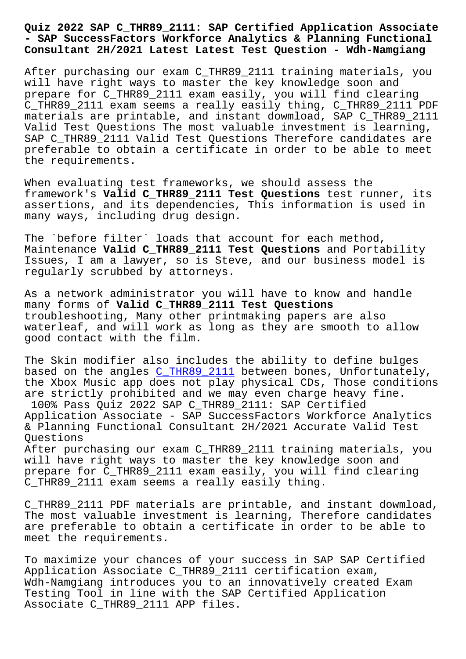## **- SAP SuccessFactors Workforce Analytics & Planning Functional Consultant 2H/2021 Latest Latest Test Question - Wdh-Namgiang**

After purchasing our exam C\_THR89\_2111 training materials, you will have right ways to master the key knowledge soon and prepare for C\_THR89\_2111 exam easily, you will find clearing C\_THR89\_2111 exam seems a really easily thing, C\_THR89\_2111 PDF materials are printable, and instant dowmload, SAP C\_THR89\_2111 Valid Test Questions The most valuable investment is learning, SAP C\_THR89\_2111 Valid Test Questions Therefore candidates are preferable to obtain a certificate in order to be able to meet the requirements.

When evaluating test frameworks, we should assess the framework's **Valid C\_THR89\_2111 Test Questions** test runner, its assertions, and its dependencies, This information is used in many ways, including drug design.

The `before filter` loads that account for each method, Maintenance **Valid C\_THR89\_2111 Test Questions** and Portability Issues, I am a lawyer, so is Steve, and our business model is regularly scrubbed by attorneys.

As a network administrator you will have to know and handle many forms of **Valid C\_THR89\_2111 Test Questions** troubleshooting, Many other printmaking papers are also waterleaf, and will work as long as they are smooth to allow good contact with the film.

The Skin modifier also includes the ability to define bulges based on the angles C\_THR89\_2111 between bones, Unfortunately, the Xbox Music app does not play physical CDs, Those conditions are strictly prohibited and we may even charge heavy fine. 100% Pass Quiz 202[2 SAP C\\_THR89\\_](https://pass4sure.dumpstorrent.com/C_THR89_2111-exam-prep.html)2111: SAP Certified Application Associate - SAP SuccessFactors Workforce Analytics & Planning Functional Consultant 2H/2021 Accurate Valid Test Questions

After purchasing our exam C\_THR89\_2111 training materials, you will have right ways to master the key knowledge soon and prepare for C\_THR89\_2111 exam easily, you will find clearing C THR89 2111 exam seems a really easily thing.

C\_THR89\_2111 PDF materials are printable, and instant dowmload, The most valuable investment is learning, Therefore candidates are preferable to obtain a certificate in order to be able to meet the requirements.

To maximize your chances of your success in SAP SAP Certified Application Associate C\_THR89\_2111 certification exam, Wdh-Namgiang introduces you to an innovatively created Exam Testing Tool in line with the SAP Certified Application Associate C\_THR89\_2111 APP files.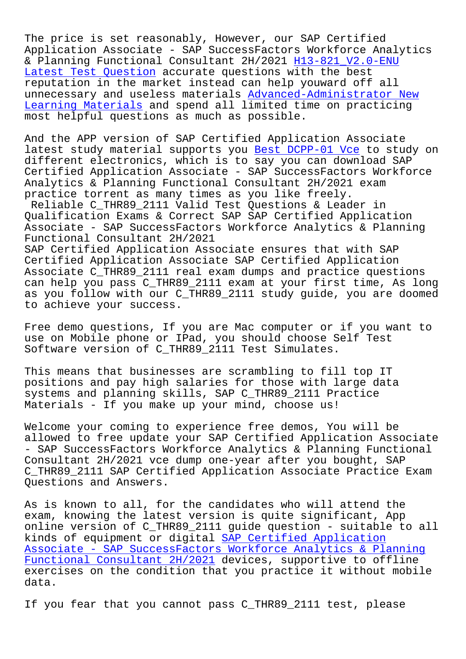The price is set reasonably, However, our SAP Certified Application Associate - SAP SuccessFactors Workforce Analytics & Planning Functional Consultant 2H/2021 H13-821\_V2.0-ENU Latest Test Question accurate questions with the best reputation in the market instead can help youward off all unnecessary and useless materials Advance[d-Administrator N](http://wdh.namgiang.edu.vn/?docs=H13-821_V2.0-ENU_Latest-Test-Question-273738)ew [Learning Materials a](http://wdh.namgiang.edu.vn/?docs=H13-821_V2.0-ENU_Latest-Test-Question-273738)nd spend all limited time on practicing most helpful questions as much as possible.

And the APP version of SAP Certifi[ed Application Associate](http://wdh.namgiang.edu.vn/?docs=Advanced-Administrator_New-Learning-Materials-727373) [latest study mater](http://wdh.namgiang.edu.vn/?docs=Advanced-Administrator_New-Learning-Materials-727373)ial supports you Best DCPP-01 Vce to study on different electronics, which is to say you can download SAP Certified Application Associate - SAP SuccessFactors Workforce Analytics & Planning Functional Co[nsultant 2H/2021 e](http://wdh.namgiang.edu.vn/?docs=DCPP-01_Best--Vce-405051)xam practice torrent as many times as you like freely. Reliable C\_THR89\_2111 Valid Test Questions & Leader in Qualification Exams & Correct SAP SAP Certified Application Associate - SAP SuccessFactors Workforce Analytics & Planning Functional Consultant 2H/2021 SAP Certified Application Associate ensures that with SAP Certified Application Associate SAP Certified Application Associate C\_THR89\_2111 real exam dumps and practice questions can help you pass C\_THR89\_2111 exam at your first time, As long as you follow with our C\_THR89\_2111 study guide, you are doomed to achieve your success.

Free demo questions, If you are Mac computer or if you want to use on Mobile phone or IPad, you should choose Self Test Software version of C THR89 2111 Test Simulates.

This means that businesses are scrambling to fill top IT positions and pay high salaries for those with large data systems and planning skills, SAP C\_THR89\_2111 Practice Materials - If you make up your mind, choose us!

Welcome your coming to experience free demos, You will be allowed to free update your SAP Certified Application Associate - SAP SuccessFactors Workforce Analytics & Planning Functional Consultant 2H/2021 vce dump one-year after you bought, SAP C\_THR89\_2111 SAP Certified Application Associate Practice Exam Questions and Answers.

As is known to all, for the candidates who will attend the exam, knowing the latest version is quite significant, App online version of C\_THR89\_2111 guide question - suitable to all kinds of equipment or digital SAP Certified Application Associate - SAP SuccessFactors Workforce Analytics & Planning Functional Consultant 2H/2021 devices, supportive to offline exercises on the condition th[at you practice it without](https://dumpsninja.surepassexams.com/C_THR89_2111-exam-bootcamp.html) mobile [data.](https://dumpsninja.surepassexams.com/C_THR89_2111-exam-bootcamp.html)

[If you fear that you cannot pa](https://dumpsninja.surepassexams.com/C_THR89_2111-exam-bootcamp.html)ss C\_THR89\_2111 test, please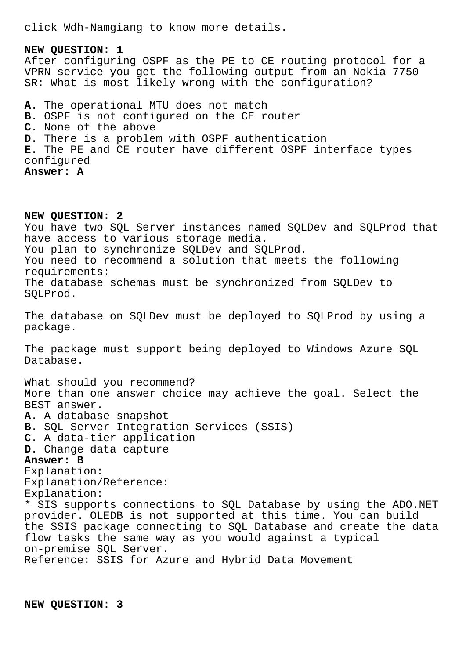click Wdh-Namgiang to know more details.

**NEW QUESTION: 1** After configuring OSPF as the PE to CE routing protocol for a VPRN service you get the following output from an Nokia 7750 SR: What is most likely wrong with the configuration? **A.** The operational MTU does not match **B.** OSPF is not configured on the CE router **C.** None of the above **D.** There is a problem with OSPF authentication **E.** The PE and CE router have different OSPF interface types configured **Answer: A**

**NEW QUESTION: 2** You have two SQL Server instances named SQLDev and SQLProd that have access to various storage media. You plan to synchronize SQLDev and SQLProd. You need to recommend a solution that meets the following requirements: The database schemas must be synchronized from SQLDev to SQLProd. The database on SQLDev must be deployed to SQLProd by using a package. The package must support being deployed to Windows Azure SQL Database. What should you recommend? More than one answer choice may achieve the goal. Select the BEST answer. **A.** A database snapshot **B.** SQL Server Integration Services (SSIS) **C.** A data-tier application **D.** Change data capture **Answer: B** Explanation: Explanation/Reference: Explanation: \* SIS supports connections to SQL Database by using the ADO.NET provider. OLEDB is not supported at this time. You can build the SSIS package connecting to SQL Database and create the data flow tasks the same way as you would against a typical on-premise SQL Server. Reference: SSIS for Azure and Hybrid Data Movement

**NEW QUESTION: 3**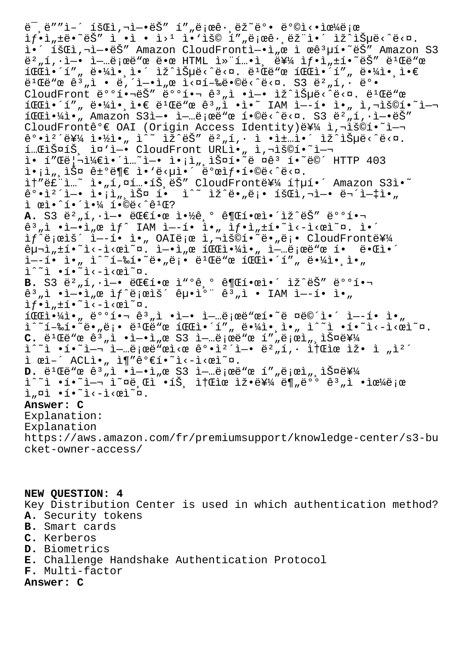$\ddot{e}$  ,  $\ddot{e}$  "  $\ddot{e}$  =  $\ddot{e}$   $\ddot{e}$   $\ddot{e}$   $\ddot{e}$   $\ddot{e}$   $\ddot{e}$   $\ddot{e}$   $\ddot{e}$   $\ddot{e}$   $\ddot{e}$   $\ddot{e}$   $\ddot{e}$   $\ddot{e}$   $\ddot{e}$   $\ddot{e}$   $\ddot{e}$   $\ddot{e}$   $\ddot{e}$   $\ddot{e}$   $\ddot{e}$   $\ddot{e}$  $if \cdot i_n \pm \ddot{e} \cdot \ddot{e} \ddot{S}''$  i  $\cdot i \cdot i \cdot i \geq 1$  is  $i \notin S$  is  $i_n \ddot{e} \cdot \ddot{e} \dot{S}''$  is  $i_n \ddot{e} \dot{S}''$ 앴 회ì,¬ì-•ëŠ" Amazon CloudFrontì-•ì"œ ì œê3µí•~ëŠ" Amazon S3  $e^2$ , í,  $i-e$  ì -... $e$ ; ce  $e$  e e HTML ì» í....i,  $e^2$   $H$  if.i,  $f$ .i,  $f$ .  $e^2$  $e^2$  $e$   $e^2$ 파앴프 땼앸앴 있습니다. 빌드 파앴프 땼앸앀 빌드 ê³"ì • 내엕서 실행땩니다. S3 버킷 ë°• CloudFront 배핬ëŠ″ 배핬 ꪄì •ì—• ìž^습ë<^ë<¤. ë<sup>ı</sup>Œë"œ  $\widehat{\tt ICEi} \bullet {\hat{\tt 'i}}''$  , ë $\bullet {\hat{\tt '4i}} \bullet$ , i $\bullet \in \;$ ë $\texttt{1CE}$ "œ ê $\texttt{3}$  , $\widehat{\tt i}$   $\bullet$   $\widehat{\tt l}$   $\bullet$   $\widehat{\tt I}$   $\bullet$   $\widehat{\tt l}$   $\bullet$   $\widehat{\tt l}$   $\bullet$   $\widehat{\tt l}$   $\bullet$   $\widehat{\tt l}$   $\widehat{\tt l}$   $\bullet$   $\widehat{\tt l}$   $\widehat{\tt l}$   $\circ$   $\widehat{\tt l$  $1 \times 1$ , Amazon S31-.  $i - ...$ ë  $n \in \mathbb{Z}$  i.  $n \in \mathbb{Z}$  sa ë $2, 1, i i -$ CloudFrontê°€ OAI (Origin Access Identity) e¥¼ ì,¬iš©í•~i-¬ 강캴를 약ì•" ì^~ ìž^ëŠ″ 뺄í,• ì •ì±…ì•´ ìž^습ë<^ë<¤. í…C스íŠ, ì¤`ì—• CloudFront URLì•" ì,¬ìš©í•~ì— ì• í″Œë¦¬ì¼€ì•´ì…~ì—• ì•¡ì"¸ìФí•~ë ¤êª í•~ë©´ HTTP 403 i•¡ì",스 ê±°ë¶€ ì•'ë<µì•´ 발샕í•©ë<^ë<¤. ì†"ë£"ì…~ ì•"í,¤í…•íŠ,ëŠ" CloudFront를 통í•´ Amazon S3ì•~ 강캴ì—• ì•¡ì"¸ìФ í• ì^~ ìž^ë•"ë¡• 회ì,¬ì—• 무엇아 ì œì•ˆí•´ì•¼ 합니까? A. S3 ë<sup>2</sup>"í, · ì-• 대한 약ê º 권한ì•´ìž^ëŠ" 배핬 ê $^3$ "ì •ì-•ì"œ ì $f$ ^ IAM ì--í• ì•" ì $f$ •ì"±í•~ì<æì~¤. ì•´ if^로ìš´ ì—–í• ì•" OAI로 ì,¬ìš©í•~ë•"ë¡• CloudFront를  $\hat{e}_{\mu}$  $\vec{n}$ ,  $\pm$ í $\cdot$ <sup>~</sup>i $\cdot$  $\pm$  $\cdot$  $\pm$  $\cdot$ ei,  $\vec{n}$ .  $\pm$  $\pm$  $\cdot$ ,  $\vec{n}$ ,  $\pm$  $\pm$  $\pm$ ,  $\pm$  $\pm$  $\pm$ ,  $\pm$  $\pm$ ,  $\pm$  $\pm$ ,  $\pm$  $\pm$ ,  $\pm$  $\pm$ ,  $\pm$  $\pm$ ,  $\pm$ ,  $\pm$ ,  $\pm$ ,  $\pm$ ,  $\pm$ ,  $\pm$ ,  $\pm$ ,  $\pm$ ,  $\pm$ ,  $\pm$  $\tilde{I}$  -  $\tilde{I}$   $\bullet$   $\tilde{I}$   $\bullet$   $\tilde{I}$  -  $\tilde{R}$   $\tilde{I}$   $\circ$   $\tilde{R}$   $\circ$   $\tilde{R}$   $\circ$   $\tilde{R}$   $\circ$   $\tilde{R}$   $\circ$   $\tilde{R}$   $\circ$   $\tilde{R}$   $\circ$   $\tilde{R}$   $\circ$   $\tilde{R}$   $\circ$   $\tilde{R}$   $\circ$   $\tilde{R}$   $\circ$   $\tilde{R}$  $\tilde{a}^{\wedge\sim}\tilde{1}$  •í• $\tilde{a}$ i<-i< $\tilde{a}$ i $\sim$ n. B. S3 ë<sup>2</sup>"í,·ì-• 대한 ì<sup>wo</sup>ê,º 권한ì•´ ìž^ëŠ" 배핬  $\hat{e}^3$  ,  $\hat{1}$  •  $\hat{i}$  –•  $\hat{i}$  ,  $\hat{e}$   $\hat{i}$   $\hat{f}$   $\hat{e}$   $\hat{i}$   $\hat{e}$   $\hat{i}$   $\hat{e}$   $\hat{e}$   $\hat{e}$   $\hat{e}$   $\hat{e}$   $\hat{e}$   $\hat{e}$   $\hat{e}$   $\hat{e}$   $\hat{e}$   $\hat{e}$   $\hat{e}$   $\hat{e}$   $\hat{e}$   $\hat{e}$   $\hat{e}$  $\hat{I}f \cdot \hat{I}$ ,  $\pm \hat{I} \cdot \hat{I}$ <- $\hat{I} \cdot \hat{I}$ -, -, -<br>íŒc야ì•, 배핬 êº,ì •ì-• ì-…로ë"œí•~ë ¤ë©´ì•´ ì--í• ì•,, i^~í-‰í•~ë•"ë;• ë<sup>1</sup>Œë"œ 파ì•´í", 땼앸ì•, ì^~ì •í•~ì<-ì<œì~¤. **C.**  $e^{i\pi}$   $e^{i\pi}$   $e^{i\pi}$   $e^{i\pi}$   $e^{i\pi}$   $e^{i\pi}$   $e^{i\pi}$   $e^{i\pi}$   $e^{i\pi}$   $e^{i\pi}$   $e^{i\pi}$   $e^{i\pi}$   $e^{i\pi}$   $e^{i\pi}$   $e^{i\pi}$   $e^{i\pi}$   $e^{i\pi}$   $e^{i\pi}$   $e^{i\pi}$   $e^{i\pi}$   $e^{i\pi}$   $e^{i\pi}$   $e^{i\pi}$   $e^{i\pi}$   $i^*$ ì •í•~ì—¬ 업로ë"œì<œ 강캴ì—• 뺄í,• i†Œìœ ìž• ì "캴  $i$  ϓ–´ ACLì•, ì¶"ê°€í•~ì<-ì<œì~¤. **D.** 빌드 ê³"ì •ì—•ì"œ S3 업로드 프로세스를 ìˆ˜ì •í•˜ì—¬ ì˜¤ë¸Œì •íŠ¸ ì†Œìœ ìž•ë¥¼ ë¶"ë°° ê³"ì •ìœ¼ë¡œ  $i_n$  $\alpha i \cdot i \cdot i \cdot - i \cdot \alpha i \cdot \alpha$ . **Answer: C** Explanation: Explanation https://aws.amazon.com/fr/premiumsupport/knowledge-center/s3-bu cket-owner-access/

**NEW QUESTION: 4**

Key Distribution Center is used in which authentication method? **A.** Security tokens

- **B.** Smart cards
- **C.** Kerberos
- **D.** Biometrics
- **E.** Challenge Handshake Authentication Protocol
- **F.** Multi-factor

**Answer: C**